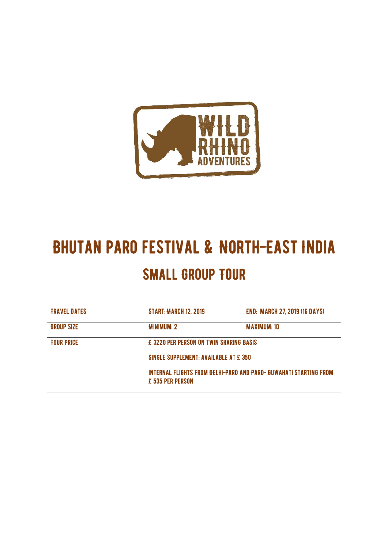

# **BHUTAN PARO FESTIVAL & NORTH-EAST INDIA SMALL GROUP FOUR**

| <b>TRAVEL DATES</b> | <b>START: MARCH 12, 2019</b>                                                                                                                                                     | <b>END: MARCH 27, 2019 (16 DAYS)</b> |
|---------------------|----------------------------------------------------------------------------------------------------------------------------------------------------------------------------------|--------------------------------------|
| <b>GROUP SIZE</b>   | <b>MINIMUM: 2</b>                                                                                                                                                                | <b>MAXIMUM: 10</b>                   |
| <b>TOUR PRICE</b>   | <b>E 3220 PER PERSON ON TWIN SHARING BASIS</b><br>SINGLE SUPPLEMENT: AVAILABLE AT £ 350<br>INTERNAL FLIGHTS FROM DELHI-PARO AND PARO- GUWAHATI STARTING FROM<br>£ 535 PER PERSON |                                      |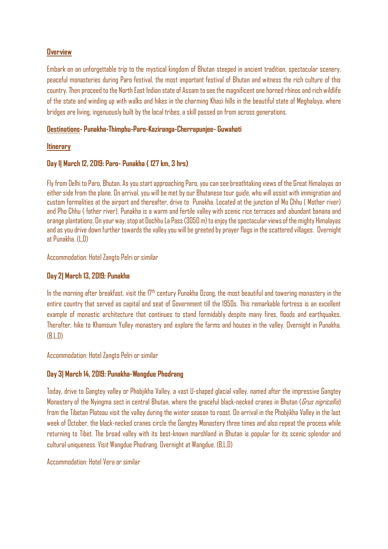# **Overview**

Embark on an unforgettable trip to the mystical kingdom of Bhutan steeped in ancient tradition, spectacular scenery, peaceful monasteries during Paro festival, the most important festival of Bhutan and witness the rich culture of this country. Then proceed to the North East Indian state of Assam to see the magnificent one horned rhinos and rich wildlife of the state and winding up with walks and hikes in the charming Khasi hills in the beautiful state of Meghalaya, where bridges are living, ingenuously built by the local tribes, a skill passed on from across generations.

## **Destinations- Punakha-Thimphu-Paro-Kaziranga-Cherrapunjee- Guwahati**

## **Itinerary**

## **Day 1| March 12, 2019: Paro- Punakha ( 127 km, 3 hrs)**

Fly from Delhi to Paro, Bhutan. As you start approaching Paro, you can see breathtaking views of the Great Himalayas on either side from the plane. On arrival, you will be met by our Bhutanese tour guide, who will assist with immigration and custom formalities at the airport and thereafter, drive to Punakha. Located at the junction of Mo Chhu ( Mother river) and Pho Chhu ( father river), Punakha is a warm and fertile valley with scenic rice terraces and abundant banana and orange plantations. On your way, stop at Dochhu La Pass (3050 m) to enjoy the spectacular views of the mighty Himalayas and as you drive down further towards the valley you will be greeted by prayer flags in the scattered villages. Overnight at Punakha. (L,D)

Accommodation: Hotel Zangto Pelri or similar

## **Day 2| March 13, 2019: Punakha**

In the morning after breakfast, visit the  $17<sup>th</sup>$  century Punakha Dzong, the most beautiful and towering monastery in the entire country that served as capital and seat of Government till the 1950s. This remarkable fortress is an excellent example of monastic architecture that continues to stand formidably despite many fires, floods and earthquakes. Therafter, hike to Khamsum Yulley monastery and explore the farms and houses in the valley. Overnight in Punakha. (B,L,D)

Accommodation: Hotel Zangto Pelri or similar

# **Day 3| March 14, 2019: Punakha-Wangdue Phodrang**

Today, drive to Gangtey valley or Phobjikha Valley, a vast U-shaped glacial valley, named after the impressive Gangtey Monastery of the Nyingma sect in central Bhutan, where the graceful black-necked cranes in Bhutan (*Grus nigricollis*) from the Tibetan Plateau visit the valley during the winter season to roost. On arrival in the Phobjikha Valley in the last week of October, the black-necked cranes circle the Gangtey Monastery three times and also repeat the process while returning to Tibet. The broad valley with its best-known marshland in Bhutan is popular for its scenic splendor and cultural uniqueness. Visit Wangdue Phodrang. Overnight at Wangdue. (B,L,D)

Accommodation: Hotel Vera or similar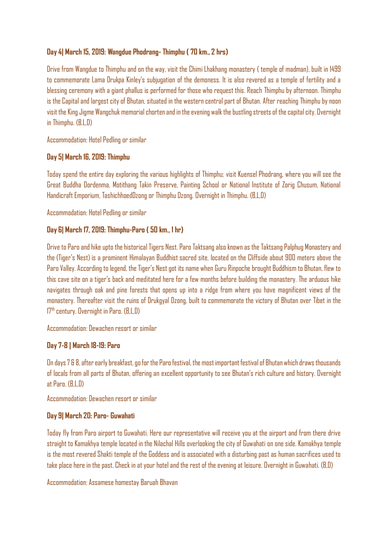# **Day 4| March 15, 2019: Wangdue Phodrang- Thimphu ( 70 km., 2 hrs)**

Drive from Wangdue to Thimphu and on the way, visit the Chimi Lhakhang monastery ( temple of madman), built in 1499 to commemorate Lama Drukpa Kinley's subjugation of the demoness. It is also revered as a temple of fertility and a blessing ceremony with a giant phallus is performed for those who request this. Reach Thimphu by afternoon. Thimphu is the Capital and largest city of Bhutan, situated in the western central part of Bhutan. After reaching Thimphu by noon visit the King Jigme Wangchuk memorial chorten and in the evening walk the bustling streets of the capital city. Overnight in Thimphu. (B.L,D)

Accommodation: Hotel Pedling or similar

# **Day 5| March 16, 2019: Thimphu**

Today spend the entire day exploring the various highlights of Thimphu; visit Kuensel Phodrang, where you will see the Great Buddha Dordenma, Motithang Takin Preserve, Painting School or National Institute of Zorig Chusum, National Handicraft Emporium, TashichhoedDzong or Thimphu Dzong. Overnight in Thimphu. (B,L,D)

Accommodation: Hotel Pedling or similar

# **Day 6| March 17, 2019: Thimphu-Paro ( 50 km., 1 hr)**

Drive to Paro and hike upto the historical Tigers Nest. Paro Taktsang also known as the Taktsang Palphug Monastery and the (Tiger's Nest) is a prominent Himalayan Buddhist sacred site, located on the Cliffside about 900 meters above the Paro Valley. According to legend, the Tiger's Nest got its name when Guru Rinpoche brought Buddhism to Bhutan, flew to this cave site on a tiger's back and meditated here for a few months before building the monastery. The arduous hike navigates through oak and pine forests that opens up into a ridge from where you have magnificent views of the monastery. Thereafter visit the ruins of Drukgyal Dzong, built to commemorate the victory of Bhutan over Tibet in the 17<sup>th</sup> century. Overnight in Paro. (B.L.D)

Accommodation: Dewachen resort or similar

# **Day 7-8 | March 18-19: Paro**

On days 7 & 8,after early breakfast, go for the Paro festival, the most important festival of Bhutan which draws thousands of locals from all parts of Bhutan, offering an excellent opportunity to see Bhutan's rich culture and history. Overnight at Paro. (B,L,D)

Accommodation: Dewachen resort or similar

# **Day 9| March 20: Paro- Guwahati**

Today fly from Paro airport to Guwahati. Here our representative will receive you at the airport and from there drive straight to Kamakhya temple located in the Nilachal Hills overlooking the city of Guwahati on one side. Kamakhya temple is the most revered Shakti temple of the Goddess and is associated with a disturbing past as human sacrifices used to take place here in the past. Check in at your hotel and the rest of the evening at leisure. Overnight in Guwahati. (B,D)

Accommodation: Assamese homestay Baruah Bhavan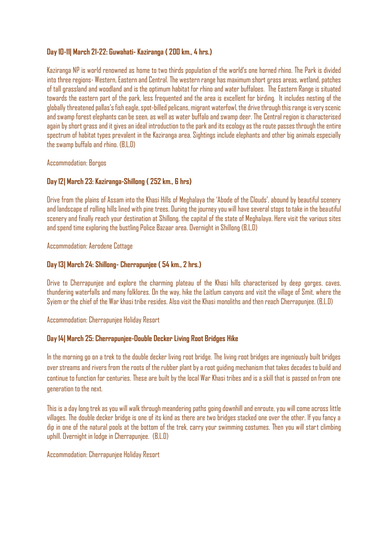# **Day 10-11| March 21-22: Guwahati- Kaziranga ( 200 km., 4 hrs.)**

Kaziranga NP is world renowned as home to two thirds population of the world's one horned rhino. The Park is divided into three regions- Western, Eastern and Central. The western range has maximum short grass areas, wetland, patches of tall grassland and woodland and is the optimum habitat for rhino and water buffaloes. The Eastern Range is situated towards the eastern part of the park, less frequented and the area is excellent for birding. It includes nesting of the globally threatened pallas's fish eagle,spot-billed pelicans,migrant waterfowl, the drive through this range is very scenic and swamp forest elephants can be seen, as well as water buffalo and swamp deer. The Central region is characterised again by short grass and it gives an ideal introduction to the park and its ecology as the route passes through the entire spectrum of habitat types prevalent in the Kaziranga area. Sightings include elephants and other big animals especially the swamp buffalo and rhino. (B,L,D)

Accommodation: Borgos

## **Day 12| March 23: Kaziranga-Shillong ( 252 km., 6 hrs)**

Drive from the plains of Assam into the Khasi Hills of Meghalaya the 'Abode of the Clouds', abound by beautiful scenery and landscape of rolling hills lined with pine trees. During the journey you will have several stops to take in the beautiful scenery and finally reach your destination at Shillong, the capital of the state of Meghalaya. Here visit the various sites and spend time exploring the bustling Police Bazaar area. Overnight in Shillong (B,L,D)

#### Accommodation: Aerodene Cottage

#### **Day 13| March 24: Shillong- Cherrapunjee ( 54 km., 2 hrs.)**

Drive to Cherrapunjee and explore the charming plateau of the Khasi hills characterised by deep gorges, caves, thundering waterfalls and many folklores. On the way, hike the Laitlum canyons and visit the village of Smit, where the Syiem or the chief of the War khasi tribe resides. Also visit the Khasi monoliths and then reach Cherrapunjee. (B,L.D)

Accommodation: Cherrapunjee Holiday Resort

#### **Day 14| March 25: Cherrapunjee-Double Decker Living Root Bridges Hike**

In the morning go on a trek to the double decker living root bridge. The living root bridges are ingeniously built bridges over streams and rivers from the roots of the rubber plant by a root guiding mechanism that takes decades to build and continue to function for centuries. These are built by the local War Khasi tribes and is a skill that is passed on from one generation to the next.

This is a day long trek as you will walk through meandering paths going downhill and enroute, you will come across little villages. The double decker bridge is one of its kind as there are two bridges stacked one over the other. If you fancy a dip in one of the natural pools at the bottom of the trek, carry your swimming costumes. Then you will start climbing uphill. Overnight in lodge in Cherrapunjee. (B,L.D)

Accommodation: Cherrapunjee Holiday Resort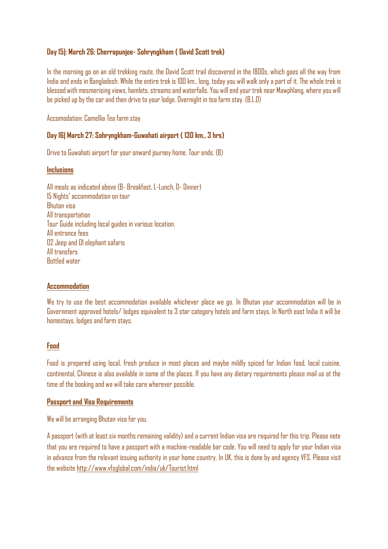## **Day 15|: March 26: Cherrapunjee- Sohryngkham ( David Scott trek)**

In the morning go on an old trekking route, the David Scott trail discovered in the 1800s, which goes all the way from India and ends in Bangladesh. While the entire trek is 100 km., long, today you will walk only a part of it. The whole trek is blessed with mesmerising views, hamlets, streams and waterfalls. You will end your trek near Mawphlang, where you will be picked up by the car and then drive to your lodge. Overnight in tea farm stay. (B,L.D)

Accomodation: Camellia Tea farm stay

## **Day 16| March 27: Sohryngkham-Guwahati airport ( 130 km., 3 hrs)**

Drive to Guwahati airport for your onward journey home. Tour ends. (B)

#### **Inclusions**

All meals as indicated above (B- Breakfast, L-Lunch, D- Dinner) 15 Nights' accommodation on tour Bhutan visa All transportation Tour Guide including local guides in various location. All entrance fees 02 Jeep and 01 elephant safaris All transfers Bottled water

#### **Accommodation**

We try to use the best accommodation available whichever place we go. In Bhutan your accommodation will be in Government approved hotels/ lodges equivalent to 3 star category hotels and farm stays, In North east India it will be homestays, lodges and farm stays.

## **Food**

Food is prepared using local, fresh produce in most places and maybe mildly spiced for Indian food, local cuisine, continental, Chinese is also available in some of the places. If you have any dietary requirements please mail us at the time of the booking and we will take care wherever possible.

## **Passport and Visa Requirements**

We will be arranging Bhutan visa for you.

A passport (with at least six months remaining validity) and a current Indian visa are required for this trip. Please note that you are required to have a passport with a machine-readable bar code. You will need to apply for your Indian visa in advance from the relevant issuing authority in your home country. In UK, this is done by and agency VFS. Please visit the website<http://www.vfsglobal.com/india/uk/Tourist.html>